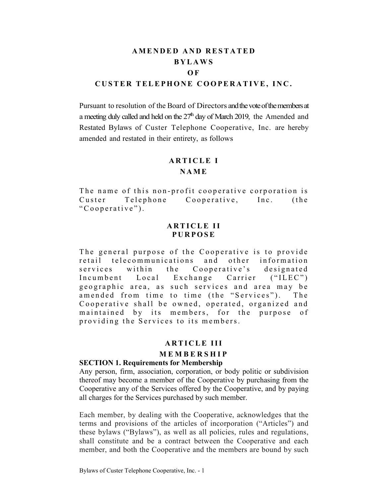# **AMENDED AND RESTATED BYLAWS O F CUSTER TELEPHONE COOPERATIVE, INC.**

Pursuant to resolution of the Board of Directors and the vote of the members at a meeting duly called and held on the  $27<sup>th</sup>$  day of March 2019, the Amended and Restated Bylaws of Custer Telephone Cooperative, Inc. are hereby amended and restated in their entirety, as follows

#### **ARTICLE I**

#### **NAME**

The name of this non-profit cooperative corporation is Custer Telephone Cooperative, Inc. (the "Cooperative").

## **ARTICLE II PURPOSE**

The general purpose of the Cooperative is to provide retail telecommunications and other information services within the Cooperative's designated Incumbent Local Exchange Carrier ("ILEC") geographic area, as such services and area may be amended from time to time (the "Services"). The Cooperative shall be owned, operated, organized and maintained by its members, for the purpose of providing the Services to its members.

#### **ARTICLE III**

## **MEMBERSHIP**

#### **SECTION 1. Requirements for Membership**

Any person, firm, association, corporation, or body politic or subdivision thereof may become a member of the Cooperative by purchasing from the Cooperative any of the Services offered by the Cooperative, and by paying all charges for the Services purchased by such member.

Each member, by dealing with the Cooperative, acknowledges that the terms and provisions of the articles of incorporation ("Articles") and these bylaws ("Bylaws"), as well as all policies, rules and regulations, shall constitute and be a contract between the Cooperative and each member, and both the Cooperative and the members are bound by such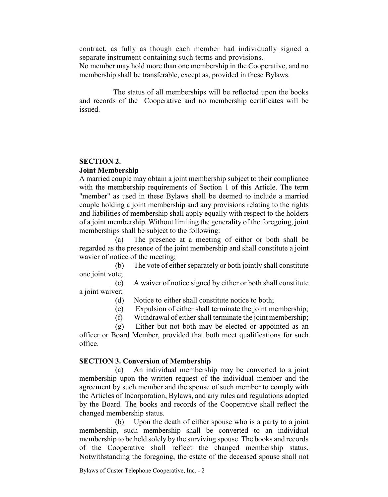contract, as fully as though each member had individually signed a separate instrument containing such terms and provisions.

No member may hold more than one membership in the Cooperative, and no membership shall be transferable, except as, provided in these Bylaws.

The status of all memberships will be reflected upon the books and records of the Cooperative and no membership certificates will be issued.

## **SECTION 2. Joint Membership**

A married couple may obtain a joint membership subject to their compliance with the membership requirements of Section 1 of this Article. The term "member" as used in these Bylaws shall be deemed to include a married couple holding a joint membership and any provisions relating to the rights and liabilities of membership shall apply equally with respect to the holders of a joint membership. Without limiting the generality of the foregoing, joint memberships shall be subject to the following:<br>(a) The presence at a meeting

The presence at a meeting of either or both shall be regarded as the presence of the joint membership and shall constitute a joint wavier of notice of the meeting;

(b) The vote of either separately or both jointly shall constitute one joint vote;

(c) A waiver of notice signed by either or both shall constitute a joint waiver;

(d) Notice to either shall constitute notice to both;

(e) Expulsion of either shall terminate the joint membership;

(f) Withdrawal of either shall terminate the joint membership;

(g) Either but not both may be elected or appointed as an officer or Board Member, provided that both meet qualifications for such office.

# **SECTION 3. Conversion of Membership**

(a) An individual membership may be converted to a joint membership upon the written request of the individual member and the agreement by such member and the spouse of such member to comply with the Articles of Incorporation, Bylaws, and any rules and regulations adopted by the Board. The books and records of the Cooperative shall reflect the changed membership status.

(b) Upon the death of either spouse who is a party to a joint membership, such membership shall be converted to an individual membership to be held solely by the surviving spouse. The books and records of the Cooperative shall reflect the changed membership status. Notwithstanding the foregoing, the estate of the deceased spouse shall not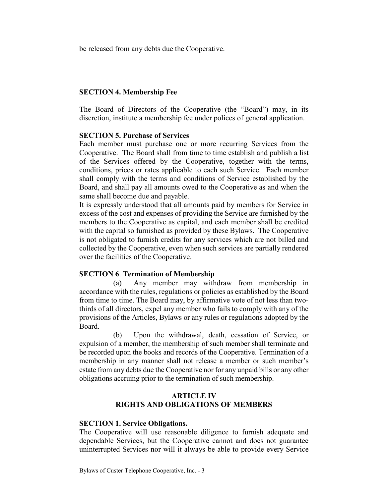be released from any debts due the Cooperative.

## **SECTION 4. Membership Fee**

The Board of Directors of the Cooperative (the "Board") may, in its discretion, institute a membership fee under polices of general application.

## **SECTION 5. Purchase of Services**

Each member must purchase one or more recurring Services from the Cooperative. The Board shall from time to time establish and publish a list of the Services offered by the Cooperative, together with the terms, conditions, prices or rates applicable to each such Service. Each member shall comply with the terms and conditions of Service established by the Board, and shall pay all amounts owed to the Cooperative as and when the same shall become due and payable.

It is expressly understood that all amounts paid by members for Service in excess of the cost and expenses of providing the Service are furnished by the members to the Cooperative as capital, and each member shall be credited with the capital so furnished as provided by these Bylaws. The Cooperative is not obligated to furnish credits for any services which are not billed and collected by the Cooperative, even when such services are partially rendered over the facilities of the Cooperative.

## **SECTION 6**. **Termination of Membership**

(a) Any member may withdraw from membership in accordance with the rules, regulations or policies as established by the Board from time to time. The Board may, by affirmative vote of not less than twothirds of all directors, expel any member who fails to comply with any of the provisions of the Articles, Bylaws or any rules or regulations adopted by the Board.

(b) Upon the withdrawal, death, cessation of Service, or expulsion of a member, the membership of such member shall terminate and be recorded upon the books and records of the Cooperative. Termination of a membership in any manner shall not release a member or such member's estate from any debts due the Cooperative nor for any unpaid bills or any other obligations accruing prior to the termination of such membership.

## **ARTICLE IV RIGHTS AND OBLIGATIONS OF MEMBERS**

## **SECTION 1. Service Obligations.**

The Cooperative will use reasonable diligence to furnish adequate and dependable Services, but the Cooperative cannot and does not guarantee uninterrupted Services nor will it always be able to provide every Service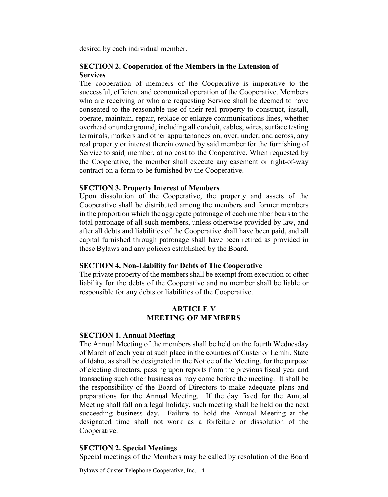desired by each individual member.

## **SECTION 2. Cooperation of the Members in the Extension of Services**

The cooperation of members of the Cooperative is imperative to the successful, efficient and economical operation of the Cooperative. Members who are receiving or who are requesting Service shall be deemed to have consented to the reasonable use of their real property to construct, install, operate, maintain, repair, replace or enlarge communications lines, whether overhead or underground, including all conduit, cables, wires, surface testing terminals, markers and other appurtenances on, over, under, and across, any real property or interest therein owned by said member for the furnishing of Service to said, member, at no cost to the Cooperative. When requested by the Cooperative, the member shall execute any easement or right-of-way contract on a form to be furnished by the Cooperative.

## **SECTION 3. Property Interest of Members**

Upon dissolution of the Cooperative, the property and assets of the Cooperative shall be distributed among the members and former members in the proportion which the aggregate patronage of each member bears to the total patronage of all such members, unless otherwise provided by law, and after all debts and liabilities of the Cooperative shall have been paid, and all capital furnished through patronage shall have been retired as provided in these Bylaws and any policies established by the Board.

## **SECTION 4. Non-Liability for Debts of The Cooperative**

The private property of the members shall be exempt from execution or other liability for the debts of the Cooperative and no member shall be liable or responsible for any debts or liabilities of the Cooperative.

# **ARTICLE V MEETING OF MEMBERS**

## **SECTION 1. Annual Meeting**

The Annual Meeting of the members shall be held on the fourth Wednesday of March of each year at such place in the counties of Custer or Lemhi, State of Idaho, as shall be designated in the Notice of the Meeting, for the purpose of electing directors, passing upon reports from the previous fiscal year and transacting such other business as may come before the meeting. It shall be the responsibility of the Board of Directors to make adequate plans and preparations for the Annual Meeting. If the day fixed for the Annual Meeting shall fall on a legal holiday, such meeting shall be held on the next succeeding business day. Failure to hold the Annual Meeting at the designated time shall not work as a forfeiture or dissolution of the Cooperative.

## **SECTION 2. Special Meetings**

Special meetings of the Members may be called by resolution of the Board

Bylaws of Custer Telephone Cooperative, Inc. - 4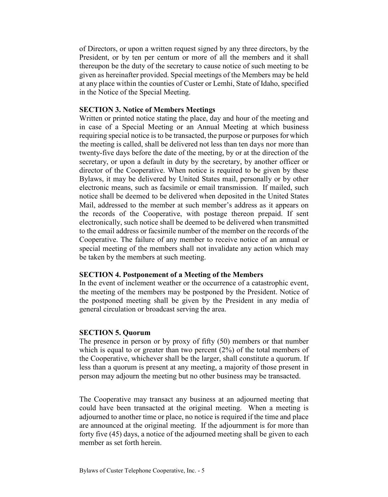of Directors, or upon a written request signed by any three directors, by the President, or by ten per centum or more of all the members and it shall thereupon be the duty of the secretary to cause notice of such meeting to be given as hereinafter provided. Special meetings of the Members may be held at any place within the counties of Custer or Lemhi, State of Idaho, specified in the Notice of the Special Meeting.

#### **SECTION 3. Notice of Members Meetings**

Written or printed notice stating the place, day and hour of the meeting and in case of a Special Meeting or an Annual Meeting at which business requiring special notice is to be transacted, the purpose or purposes for which the meeting is called, shall be delivered not less than ten days nor more than twenty-five days before the date of the meeting, by or at the direction of the secretary, or upon a default in duty by the secretary, by another officer or director of the Cooperative. When notice is required to be given by these Bylaws, it may be delivered by United States mail, personally or by other electronic means, such as facsimile or email transmission. If mailed, such notice shall be deemed to be delivered when deposited in the United States Mail, addressed to the member at such member's address as it appears on the records of the Cooperative, with postage thereon prepaid. If sent electronically, such notice shall be deemed to be delivered when transmitted to the email address or facsimile number of the member on the records of the Cooperative. The failure of any member to receive notice of an annual or special meeting of the members shall not invalidate any action which may be taken by the members at such meeting.

## **SECTION 4. Postponement of a Meeting of the Members**

In the event of inclement weather or the occurrence of a catastrophic event, the meeting of the members may be postponed by the President. Notice of the postponed meeting shall be given by the President in any media of general circulation or broadcast serving the area.

#### **SECTION 5. Quorum**

The presence in person or by proxy of fifty (50) members or that number which is equal to or greater than two percent  $(2%)$  of the total members of the Cooperative, whichever shall be the larger, shall constitute a quorum. If less than a quorum is present at any meeting, a majority of those present in person may adjourn the meeting but no other business may be transacted.

The Cooperative may transact any business at an adjourned meeting that could have been transacted at the original meeting. When a meeting is adjourned to another time or place, no notice is required if the time and place are announced at the original meeting. If the adjournment is for more than forty five (45) days, a notice of the adjourned meeting shall be given to each member as set forth herein.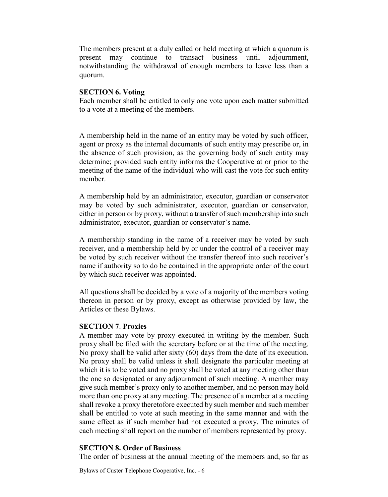The members present at a duly called or held meeting at which a quorum is present may continue to transact business until adjournment, notwithstanding the withdrawal of enough members to leave less than a quorum.

## **SECTION 6. Voting**

Each member shall be entitled to only one vote upon each matter submitted to a vote at a meeting of the members.

A membership held in the name of an entity may be voted by such officer, agent or proxy as the internal documents of such entity may prescribe or, in the absence of such provision, as the governing body of such entity may determine; provided such entity informs the Cooperative at or prior to the meeting of the name of the individual who will cast the vote for such entity member.

A membership held by an administrator, executor, guardian or conservator may be voted by such administrator, executor, guardian or conservator, either in person or by proxy, without a transfer of such membership into such administrator, executor, guardian or conservator's name.

A membership standing in the name of a receiver may be voted by such receiver, and a membership held by or under the control of a receiver may be voted by such receiver without the transfer thereof into such receiver's name if authority so to do be contained in the appropriate order of the court by which such receiver was appointed.

All questions shall be decided by a vote of a majority of the members voting thereon in person or by proxy, except as otherwise provided by law, the Articles or these Bylaws.

# **SECTION 7**. **Proxies**

A member may vote by proxy executed in writing by the member. Such proxy shall be filed with the secretary before or at the time of the meeting. No proxy shall be valid after sixty (60) days from the date of its execution. No proxy shall be valid unless it shall designate the particular meeting at which it is to be voted and no proxy shall be voted at any meeting other than the one so designated or any adjournment of such meeting. A member may give such member's proxy only to another member, and no person may hold more than one proxy at any meeting. The presence of a member at a meeting shall revoke a proxy theretofore executed by such member and such member shall be entitled to vote at such meeting in the same manner and with the same effect as if such member had not executed a proxy. The minutes of each meeting shall report on the number of members represented by proxy.

# **SECTION 8. Order of Business**

The order of business at the annual meeting of the members and, so far as

Bylaws of Custer Telephone Cooperative, Inc. - 6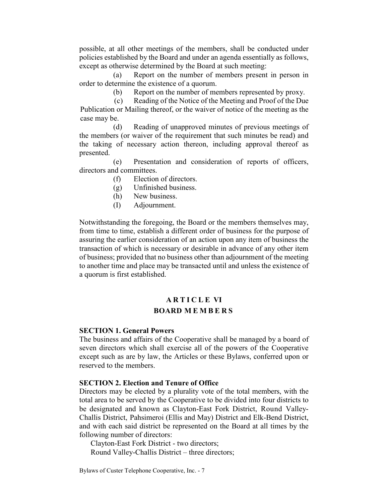possible, at all other meetings of the members, shall be conducted under policies established by the Board and under an agenda essentially as follows, except as otherwise determined by the Board at such meeting:

(a) Report on the number of members present in person in order to determine the existence of a quorum.

(b) Report on the number of members represented by proxy.

(c) Reading of the Notice of the Meeting and Proof of the Due Publication or Mailing thereof, or the waiver of notice of the meeting as the case may be.

(d) Reading of unapproved minutes of previous meetings of the members (or waiver of the requirement that such minutes be read) and the taking of necessary action thereon, including approval thereof as presented.

(e) Presentation and consideration of reports of officers, directors and committees.

- (f) Election of directors.
- (g) Unfinished business.
- (h) New business.
- (I) Adjournment.

Notwithstanding the foregoing, the Board or the members themselves may, from time to time, establish a different order of business for the purpose of assuring the earlier consideration of an action upon any item of business the transaction of which is necessary or desirable in advance of any other item of business; provided that no business other than adjournment of the meeting to another time and place may be transacted until and unless the existence of a quorum is first established.

# **ARTICLE VI BOARD MEMBERS**

#### **SECTION 1. General Powers**

The business and affairs of the Cooperative shall be managed by a board of seven directors which shall exercise all of the powers of the Cooperative except such as are by law, the Articles or these Bylaws, conferred upon or reserved to the members.

#### **SECTION 2. Election and Tenure of Office**

Directors may be elected by a plurality vote of the total members, with the total area to be served by the Cooperative to be divided into four districts to be designated and known as Clayton-East Fork District, Round Valley-Challis District, Pahsimeroi (Ellis and May) District and Elk-Bend District, and with each said district be represented on the Board at all times by the following number of directors:

Clayton-East Fork District - two directors; Round Valley-Challis District – three directors;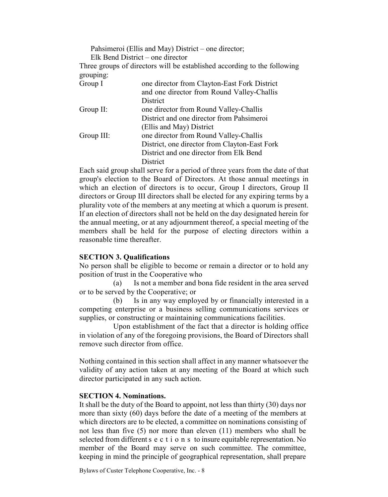| Pahsimeroi (Ellis and May) District – one director;<br>Elk Bend District – one director |
|-----------------------------------------------------------------------------------------|
| Three groups of directors will be established according to the following                |
|                                                                                         |
| one director from Clayton-East Fork District                                            |
| and one director from Round Valley-Challis                                              |
| District                                                                                |
| one director from Round Valley-Challis                                                  |
| District and one director from Pahsimeroi                                               |
| (Ellis and May) District                                                                |
| one director from Round Valley-Challis                                                  |
| District, one director from Clayton-East Fork                                           |
| District and one director from Elk Bend                                                 |
| <b>District</b>                                                                         |
|                                                                                         |

Each said group shall serve for a period of three years from the date of that group's election to the Board of Directors. At those annual meetings in which an election of directors is to occur, Group I directors, Group II directors or Group III directors shall be elected for any expiring terms by a plurality vote of the members at any meeting at which a quorum is present. If an election of directors shall not be held on the day designated herein for the annual meeting, or at any adjournment thereof, a special meeting of the members shall be held for the purpose of electing directors within a reasonable time thereafter.

## **SECTION 3. Qualifications**

No person shall be eligible to become or remain a director or to hold any position of trust in the Cooperative who

(a) Is not a member and bona fide resident in the area served or to be served by the Cooperative; or

(b) Is in any way employed by or financially interested in a competing enterprise or a business selling communications services or supplies, or constructing or maintaining communications facilities.

Upon establishment of the fact that a director is holding office in violation of any of the foregoing provisions, the Board of Directors shall remove such director from office.

Nothing contained in this section shall affect in any manner whatsoever the validity of any action taken at any meeting of the Board at which such director participated in any such action.

## **SECTION 4. Nominations.**

It shall be the duty of the Board to appoint, not less than thirty (30) days nor more than sixty (60) days before the date of a meeting of the members at which directors are to be elected, a committee on nominations consisting of not less than five (5) nor more than eleven (11) members who shall be selected from different sections to insure equitable representation. No member of the Board may serve on such committee. The committee, keeping in mind the principle of geographical representation, shall prepare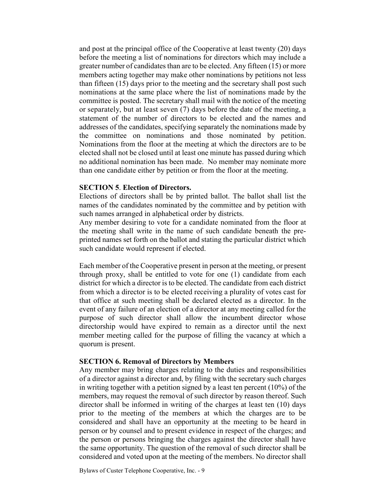and post at the principal office of the Cooperative at least twenty (20) days before the meeting a list of nominations for directors which may include a greater number of candidates than are to be elected. Any fifteen (15) or more members acting together may make other nominations by petitions not less than fifteen (15) days prior to the meeting and the secretary shall post such nominations at the same place where the list of nominations made by the committee is posted. The secretary shall mail with the notice of the meeting or separately, but at least seven (7) days before the date of the meeting, a statement of the number of directors to be elected and the names and addresses of the candidates, specifying separately the nominations made by the committee on nominations and those nominated by petition. Nominations from the floor at the meeting at which the directors are to be elected shall not be closed until at least one minute has passed during which no additional nomination has been made. No member may nominate more than one candidate either by petition or from the floor at the meeting.

#### **SECTION 5**. **Election of Directors.**

Elections of directors shall be by printed ballot. The ballot shall list the names of the candidates nominated by the committee and by petition with such names arranged in alphabetical order by districts.

Any member desiring to vote for a candidate nominated from the floor at the meeting shall write in the name of such candidate beneath the preprinted names set forth on the ballot and stating the particular district which such candidate would represent if elected.

Each member of the Cooperative present in person at the meeting, or present through proxy, shall be entitled to vote for one (1) candidate from each district for which a director is to be elected. The candidate from each district from which a director is to be elected receiving a plurality of votes cast for that office at such meeting shall be declared elected as a director. In the event of any failure of an election of a director at any meeting called for the purpose of such director shall allow the incumbent director whose directorship would have expired to remain as a director until the next member meeting called for the purpose of filling the vacancy at which a quorum is present.

#### **SECTION 6. Removal of Directors by Members**

Any member may bring charges relating to the duties and responsibilities of a director against a director and, by filing with the secretary such charges in writing together with a petition signed by a least ten percent (10%) of the members, may request the removal of such director by reason thereof. Such director shall be informed in writing of the charges at least ten (10) days prior to the meeting of the members at which the charges are to be considered and shall have an opportunity at the meeting to be heard in person or by counsel and to present evidence in respect of the charges; and the person or persons bringing the charges against the director shall have the same opportunity. The question of the removal of such director shall be considered and voted upon at the meeting of the members. No director shall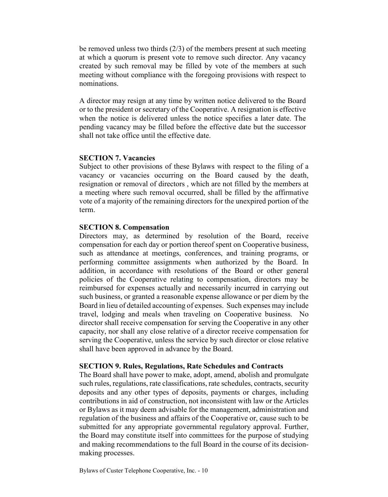be removed unless two thirds (2/3) of the members present at such meeting at which a quorum is present vote to remove such director. Any vacancy created by such removal may be filled by vote of the members at such meeting without compliance with the foregoing provisions with respect to nominations.

A director may resign at any time by written notice delivered to the Board or to the president or secretary of the Cooperative. A resignation is effective when the notice is delivered unless the notice specifies a later date. The pending vacancy may be filled before the effective date but the successor shall not take office until the effective date.

#### **SECTION 7. Vacancies**

Subject to other provisions of these Bylaws with respect to the filing of a vacancy or vacancies occurring on the Board caused by the death, resignation or removal of directors , which are not filled by the members at a meeting where such removal occurred, shall be filled by the affirmative vote of a majority of the remaining directors for the unexpired portion of the term.

#### **SECTION 8. Compensation**

Directors may, as determined by resolution of the Board, receive compensation for each day or portion thereof spent on Cooperative business, such as attendance at meetings, conferences, and training programs, or performing committee assignments when authorized by the Board. In addition, in accordance with resolutions of the Board or other general policies of the Cooperative relating to compensation, directors may be reimbursed for expenses actually and necessarily incurred in carrying out such business, or granted a reasonable expense allowance or per diem by the Board in lieu of detailed accounting of expenses. Such expenses may include travel, lodging and meals when traveling on Cooperative business. No director shall receive compensation for serving the Cooperative in any other capacity, nor shall any close relative of a director receive compensation for serving the Cooperative, unless the service by such director or close relative shall have been approved in advance by the Board.

#### **SECTION 9. Rules, Regulations, Rate Schedules and Contracts**

The Board shall have power to make, adopt, amend, abolish and promulgate such rules, regulations, rate classifications, rate schedules, contracts, security deposits and any other types of deposits, payments or charges, including contributions in aid of construction, not inconsistent with law or the Articles or Bylaws as it may deem advisable for the management, administration and regulation of the business and affairs of the Cooperative or, cause such to be submitted for any appropriate governmental regulatory approval. Further, the Board may constitute itself into committees for the purpose of studying and making recommendations to the full Board in the course of its decisionmaking processes.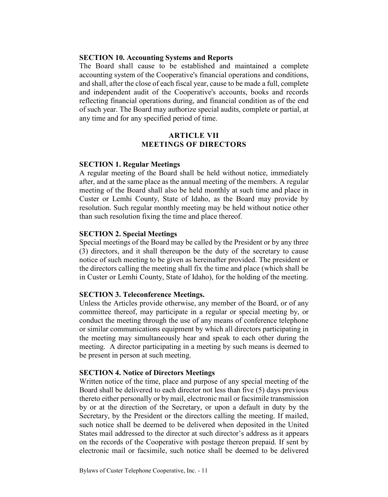#### **SECTION 10. Accounting Systems and Reports**

The Board shall cause to be established and maintained a complete accounting system of the Cooperative's financial operations and conditions, and shall, after the close of each fiscal year, cause to be made a full, complete and independent audit of the Cooperative's accounts, books and records reflecting financial operations during, and financial condition as of the end of such year. The Board may authorize special audits, complete or partial, at any time and for any specified period of time.

#### **ARTICLE VII MEETINGS OF DIRECTORS**

#### **SECTION 1. Regular Meetings**

A regular meeting of the Board shall be held without notice, immediately after, and at the same place as the annual meeting of the members. A regular meeting of the Board shall also be held monthly at such time and place in Custer or Lemhi County, State of Idaho, as the Board may provide by resolution. Such regular monthly meeting may be held without notice other than such resolution fixing the time and place thereof.

#### **SECTION 2. Special Meetings**

Special meetings of the Board may be called by the President or by any three (3) directors, and it shall thereupon be the duty of the secretary to cause notice of such meeting to be given as hereinafter provided. The president or the directors calling the meeting shall fix the time and place (which shall be in Custer or Lemhi County, State of Idaho), for the holding of the meeting.

#### **SECTION 3. Teleconference Meetings.**

Unless the Articles provide otherwise, any member of the Board, or of any committee thereof, may participate in a regular or special meeting by, or conduct the meeting through the use of any means of conference telephone or similar communications equipment by which all directors participating in the meeting may simultaneously hear and speak to each other during the meeting. A director participating in a meeting by such means is deemed to be present in person at such meeting.

#### **SECTION 4. Notice of Directors Meetings**

Written notice of the time, place and purpose of any special meeting of the Board shall be delivered to each director not less than five (5) days previous thereto either personally or by mail, electronic mail or facsimile transmission by or at the direction of the Secretary, or upon a default in duty by the Secretary, by the President or the directors calling the meeting. If mailed, such notice shall be deemed to be delivered when deposited in the United States mail addressed to the director at such director's address as it appears on the records of the Cooperative with postage thereon prepaid. If sent by electronic mail or facsimile, such notice shall be deemed to be delivered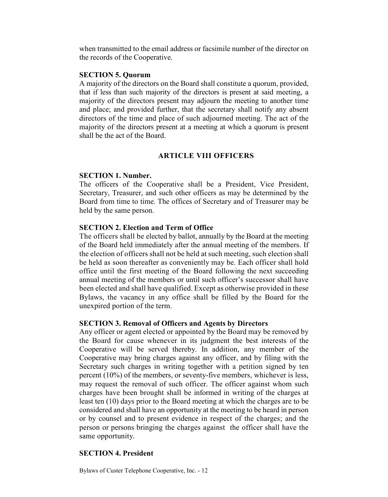when transmitted to the email address or facsimile number of the director on the records of the Cooperative.

#### **SECTION 5. Quorum**

A majority of the directors on the Board shall constitute a quorum, provided, that if less than such majority of the directors is present at said meeting, a majority of the directors present may adjourn the meeting to another time and place; and provided further, that the secretary shall notify any absent directors of the time and place of such adjourned meeting. The act of the majority of the directors present at a meeting at which a quorum is present shall be the act of the Board.

## **ARTICLE VIII OFFICERS**

## **SECTION 1. Number.**

The officers of the Cooperative shall be a President, Vice President, Secretary, Treasurer, and such other officers as may be determined by the Board from time to time. The offices of Secretary and of Treasurer may be held by the same person.

## **SECTION 2. Election and Term of Office**

The officers shall be elected by ballot, annually by the Board at the meeting of the Board held immediately after the annual meeting of the members. If the election of officers shall not be held at such meeting, such election shall be held as soon thereafter as conveniently may be. Each officer shall hold office until the first meeting of the Board following the next succeeding annual meeting of the members or until such officer's successor shall have been elected and shall have qualified. Except as otherwise provided in these Bylaws, the vacancy in any office shall be filled by the Board for the unexpired portion of the term.

## **SECTION 3. Removal of Officers and Agents by Directors**

Any officer or agent elected or appointed by the Board may be removed by the Board for cause whenever in its judgment the best interests of the Cooperative will be served thereby. In addition, any member of the Cooperative may bring charges against any officer, and by filing with the Secretary such charges in writing together with a petition signed by ten percent (10%) of the members, or seventy-five members, whichever is less, may request the removal of such officer. The officer against whom such charges have been brought shall be informed in writing of the charges at least ten (10) days prior to the Board meeting at which the charges are to be considered and shall have an opportunity at the meeting to be heard in person or by counsel and to present evidence in respect of the charges; and the person or persons bringing the charges against the officer shall have the same opportunity.

# **SECTION 4. President**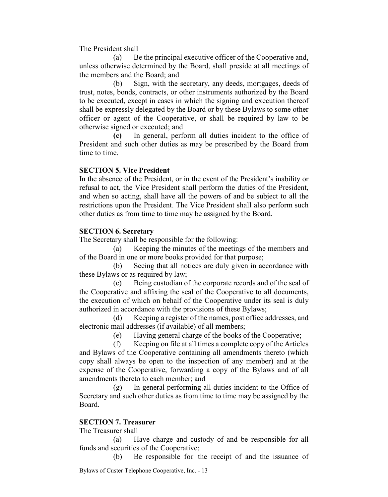The President shall

(a) Be the principal executive officer of the Cooperative and, unless otherwise determined by the Board, shall preside at all meetings of the members and the Board; and

(b) Sign, with the secretary, any deeds, mortgages, deeds of trust, notes, bonds, contracts, or other instruments authorized by the Board to be executed, except in cases in which the signing and execution thereof shall be expressly delegated by the Board or by these Bylaws to some other officer or agent of the Cooperative, or shall be required by law to be otherwise signed or executed; and

**(c)** In general, perform all duties incident to the office of President and such other duties as may be prescribed by the Board from time to time.

## **SECTION 5. Vice President**

In the absence of the President, or in the event of the President's inability or refusal to act, the Vice President shall perform the duties of the President, and when so acting, shall have all the powers of and be subject to all the restrictions upon the President. The Vice President shall also perform such other duties as from time to time may be assigned by the Board.

# **SECTION 6. Secretary**

The Secretary shall be responsible for the following:

(a) Keeping the minutes of the meetings of the members and of the Board in one or more books provided for that purpose;

(b) Seeing that all notices are duly given in accordance with these Bylaws or as required by law;

(c) Being custodian of the corporate records and of the seal of the Cooperative and affixing the seal of the Cooperative to all documents, the execution of which on behalf of the Cooperative under its seal is duly authorized in accordance with the provisions of these Bylaws;

(d) Keeping a register of the names, post office addresses, and electronic mail addresses (if available) of all members;

(e) Having general charge of the books of the Cooperative;

(f) Keeping on file at all times a complete copy of the Articles and Bylaws of the Cooperative containing all amendments thereto (which copy shall always be open to the inspection of any member) and at the expense of the Cooperative, forwarding a copy of the Bylaws and of all amendments thereto to each member; and

(g) In general performing all duties incident to the Office of Secretary and such other duties as from time to time may be assigned by the Board.

# **SECTION 7. Treasurer**

The Treasurer shall

(a) Have charge and custody of and be responsible for all funds and securities of the Cooperative;

(b) Be responsible for the receipt of and the issuance of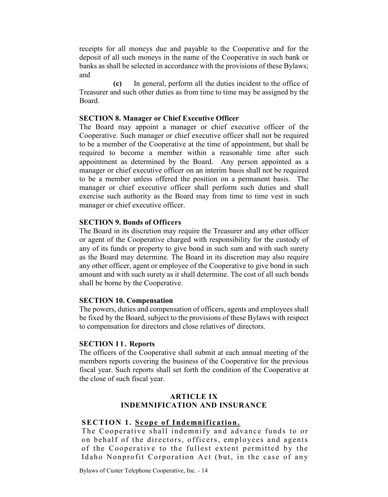receipts for all moneys due and payable to the Cooperative and for the deposit of all such moneys in the name of the Cooperative in such bank or banks as shall be selected in accordance with the provisions of these Bylaws; and

**(c)** In general, perform all the duties incident to the office of Treasurer and such other duties as from time to time may be assigned by the Board.

## **SECTION 8. Manager or Chief Executive Officer**

The Board may appoint a manager or chief executive officer of the Cooperative. Such manager or chief executive officer shall not be required to be a member of the Cooperative at the time of appointment, but shall be required to become a member within a reasonable time after such appointment as determined by the Board. Any person appointed as a manager or chief executive officer on an interim basis shall not be required to be a member unless offered the position on a permanent basis. The manager or chief executive officer shall perform such duties and shall exercise such authority as the Board may from time to time vest in such manager or chief executive officer.

## **SECTION 9. Bonds of Officers**

The Board in its discretion may require the Treasurer and any other officer or agent of the Cooperative charged with responsibility for the custody of any of its funds or property to give bond in such sum and with such surety as the Board may determine. The Board in its discretion may also require any other officer, agent or employee of the Cooperative to give bond in such amount and with such surety as it shall determine. The cost of all such bonds shall be borne by the Cooperative.

## **SECTION 10. Compensation**

The powers, duties and compensation of officers, agents and employees shall be fixed by the Board, subject to the provisions of these Bylaws with respect to compensation for directors and close relatives of' directors.

## **SECTION 11. Reports**

The officers of the Cooperative shall submit at each annual meeting of the members reports covering the business of the Cooperative for the previous fiscal year. Such reports shall set forth the condition of the Cooperative at the close of such fiscal year.

# **ARTICLE IX INDEMNIFICATION AND INSURANCE**

# **SECTION 1. Scope of Indemnification.**

The Cooperative shall indemnify and advance funds to or on behalf of the directors, officers, employees and agents of the Cooperative to the fullest extent permitted by the Idaho Nonprofit Corporation Act (but, in the case of any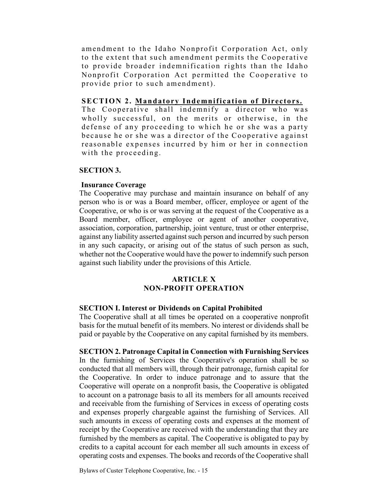amendment to the Idaho Nonprofit Corporation Act, only to the extent that such amendment permits the Cooperative to provide broader indemnification rights than the Idaho Nonprofit Corporation Act permitted the Cooperative to provide prior to such amendment).

## **SECTION 2. Mandatory Indemnification of Directors.**

The Cooperative shall indemnify a director who was wholly successful, on the merits or otherwise, in the defense of any proceeding to which he or she was a party because he or she was a director of the Cooperative against reasonable expenses incurred by him or her in connection with the proceeding.

## **SECTION 3.**

# **Insurance Coverage**

The Cooperative may purchase and maintain insurance on behalf of any person who is or was a Board member, officer, employee or agent of the Cooperative, or who is or was serving at the request of the Cooperative as a Board member, officer, employee or agent of another cooperative, association, corporation, partnership, joint venture, trust or other enterprise, against any liability asserted against such person and incurred by such person in any such capacity, or arising out of the status of such person as such, whether not the Cooperative would have the power to indemnify such person against such liability under the provisions of this Article.

## **ARTICLE X NON-PROFIT OPERATION**

## **SECTION I. Interest or Dividends on Capital Prohibited**

The Cooperative shall at all times be operated on a cooperative nonprofit basis for the mutual benefit of its members. No interest or dividends shall be paid or payable by the Cooperative on any capital furnished by its members.

**SECTION 2. Patronage Capital in Connection with Furnishing Services** In the furnishing of Services the Cooperative's operation shall be so conducted that all members will, through their patronage, furnish capital for the Cooperative. In order to induce patronage and to assure that the Cooperative will operate on a nonprofit basis, the Cooperative is obligated to account on a patronage basis to all its members for all amounts received and receivable from the furnishing of Services in excess of operating costs and expenses properly chargeable against the furnishing of Services. All such amounts in excess of operating costs and expenses at the moment of receipt by the Cooperative are received with the understanding that they are furnished by the members as capital. The Cooperative is obligated to pay by credits to a capital account for each member all such amounts in excess of operating costs and expenses. The books and records of the Cooperative shall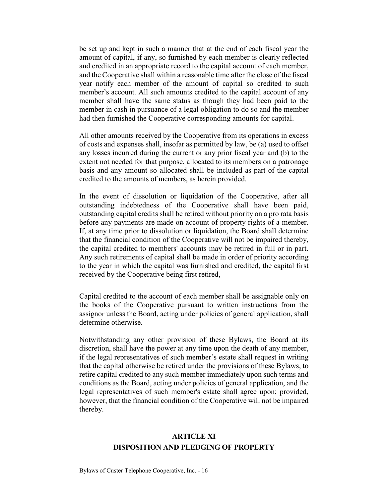be set up and kept in such a manner that at the end of each fiscal year the amount of capital, if any, so furnished by each member is clearly reflected and credited in an appropriate record to the capital account of each member, and the Cooperative shall within a reasonable time after the close of the fiscal year notify each member of the amount of capital so credited to such member's account. All such amounts credited to the capital account of any member shall have the same status as though they had been paid to the member in cash in pursuance of a legal obligation to do so and the member had then furnished the Cooperative corresponding amounts for capital.

All other amounts received by the Cooperative from its operations in excess of costs and expenses shall, insofar as permitted by law, be (a) used to offset any losses incurred during the current or any prior fiscal year and (b) to the extent not needed for that purpose, allocated to its members on a patronage basis and any amount so allocated shall be included as part of the capital credited to the amounts of members, as herein provided.

In the event of dissolution or liquidation of the Cooperative, after all outstanding indebtedness of the Cooperative shall have been paid, outstanding capital credits shall be retired without priority on a pro rata basis before any payments are made on account of property rights of a member. If, at any time prior to dissolution or liquidation, the Board shall determine that the financial condition of the Cooperative will not be impaired thereby, the capital credited to members' accounts may be retired in full or in part. Any such retirements of capital shall be made in order of priority according to the year in which the capital was furnished and credited, the capital first received by the Cooperative being first retired,

Capital credited to the account of each member shall be assignable only on the books of the Cooperative pursuant to written instructions from the assignor unless the Board, acting under policies of general application, shall determine otherwise.

Notwithstanding any other provision of these Bylaws, the Board at its discretion, shall have the power at any time upon the death of any member, if the legal representatives of such member's estate shall request in writing that the capital otherwise be retired under the provisions of these Bylaws, to retire capital credited to any such member immediately upon such terms and conditions as the Board, acting under policies of general application, and the legal representatives of such member's estate shall agree upon; provided, however, that the financial condition of the Cooperative will not be impaired thereby.

# **ARTICLE XI DISPOSITION AND PLEDGING OF PROPERTY**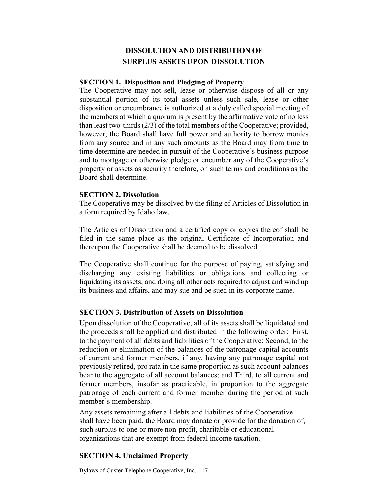# **DISSOLUTION AND DISTRIBUTION OF SURPLUS ASSETS UPON DISSOLUTION**

#### **SECTION 1. Disposition and Pledging of Property**

The Cooperative may not sell, lease or otherwise dispose of all or any substantial portion of its total assets unless such sale, lease or other disposition or encumbrance is authorized at a duly called special meeting of the members at which a quorum is present by the affirmative vote of no less than least two-thirds (2/3) of the total members of the Cooperative; provided, however, the Board shall have full power and authority to borrow monies from any source and in any such amounts as the Board may from time to time determine are needed in pursuit of the Cooperative's business purpose and to mortgage or otherwise pledge or encumber any of the Cooperative's property or assets as security therefore, on such terms and conditions as the Board shall determine.

#### **SECTION 2. Dissolution**

The Cooperative may be dissolved by the filing of Articles of Dissolution in a form required by Idaho law.

The Articles of Dissolution and a certified copy or copies thereof shall be filed in the same place as the original Certificate of Incorporation and thereupon the Cooperative shall be deemed to be dissolved.

The Cooperative shall continue for the purpose of paying, satisfying and discharging any existing liabilities or obligations and collecting or liquidating its assets, and doing all other acts required to adjust and wind up its business and affairs, and may sue and be sued in its corporate name.

#### **SECTION 3. Distribution of Assets on Dissolution**

Upon dissolution of the Cooperative, all of its assets shall be liquidated and the proceeds shall be applied and distributed in the following order: First, to the payment of all debts and liabilities of the Cooperative; Second, to the reduction or elimination of the balances of the patronage capital accounts of current and former members, if any, having any patronage capital not previously retired, pro rata in the same proportion as such account balances bear to the aggregate of all account balances; and Third, to all current and former members, insofar as practicable, in proportion to the aggregate patronage of each current and former member during the period of such member's membership.

Any assets remaining after all debts and liabilities of the Cooperative shall have been paid, the Board may donate or provide for the donation of, such surplus to one or more non-profit, charitable or educational organizations that are exempt from federal income taxation.

#### **SECTION 4. Unclaimed Property**

Bylaws of Custer Telephone Cooperative, Inc. - 17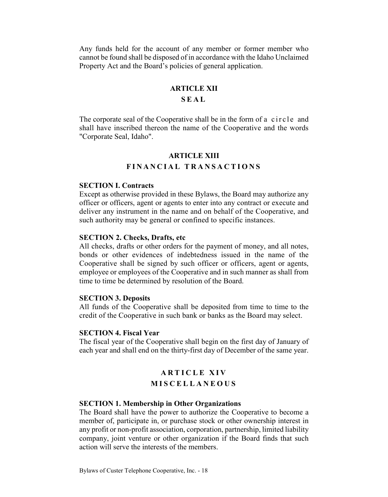Any funds held for the account of any member or former member who cannot be found shall be disposed of in accordance with the Idaho Unclaimed Property Act and the Board's policies of general application.

#### **ARTICLE XII**

### **SEAL**

The corporate seal of the Cooperative shall be in the form of a circle and shall have inscribed thereon the name of the Cooperative and the words "Corporate Seal, Idaho".

# **ARTICLE XIII FINANCIAL TRANSACTIONS**

#### **SECTION I. Contracts**

Except as otherwise provided in these Bylaws, the Board may authorize any officer or officers, agent or agents to enter into any contract or execute and deliver any instrument in the name and on behalf of the Cooperative, and such authority may be general or confined to specific instances.

#### **SECTION 2. Checks, Drafts, etc**

All checks, drafts or other orders for the payment of money, and all notes, bonds or other evidences of indebtedness issued in the name of the Cooperative shall be signed by such officer or officers, agent or agents, employee or employees of the Cooperative and in such manner as shall from time to time be determined by resolution of the Board.

#### **SECTION 3. Deposits**

All funds of the Cooperative shall be deposited from time to time to the credit of the Cooperative in such bank or banks as the Board may select.

#### **SECTION 4. Fiscal Year**

The fiscal year of the Cooperative shall begin on the first day of January of each year and shall end on the thirty-first day of December of the same year.

# **ARTICLE X I V MISCELLANEOUS**

## **SECTION 1. Membership in Other Organizations**

The Board shall have the power to authorize the Cooperative to become a member of, participate in, or purchase stock or other ownership interest in any profit or non-profit association, corporation, partnership, limited liability company, joint venture or other organization if the Board finds that such action will serve the interests of the members.